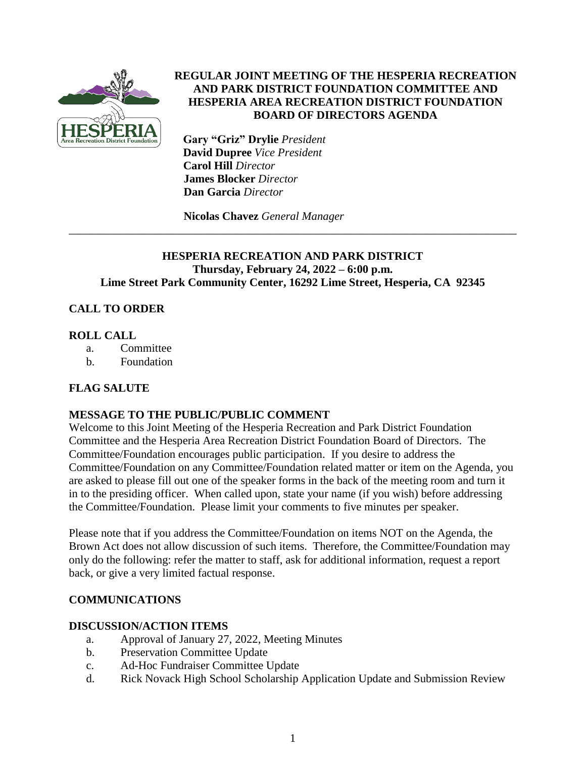

### **REGULAR JOINT MEETING OF THE HESPERIA RECREATION AND PARK DISTRICT FOUNDATION COMMITTEE AND HESPERIA AREA RECREATION DISTRICT FOUNDATION BOARD OF DIRECTORS AGENDA**

 **Gary "Griz" Drylie** *President*  **David Dupree** *Vice President* **Carol Hill** *Director*  **James Blocker** *Director*  **Dan Garcia** *Director*

**Nicolas Chavez** *General Manager*

### **HESPERIA RECREATION AND PARK DISTRICT Thursday, February 24, 2022 – 6:00 p.m. Lime Street Park Community Center, 16292 Lime Street, Hesperia, CA 92345**

\_\_\_\_\_\_\_\_\_\_\_\_\_\_\_\_\_\_\_\_\_\_\_\_\_\_\_\_\_\_\_\_\_\_\_\_\_\_\_\_\_\_\_\_\_\_\_\_\_\_\_\_\_\_\_\_\_\_\_\_\_\_\_\_\_\_\_\_\_\_\_\_\_\_\_\_\_\_

# **CALL TO ORDER**

### **ROLL CALL**

- a. Committee
- b. Foundation

# **FLAG SALUTE**

# **MESSAGE TO THE PUBLIC/PUBLIC COMMENT**

Welcome to this Joint Meeting of the Hesperia Recreation and Park District Foundation Committee and the Hesperia Area Recreation District Foundation Board of Directors. The Committee/Foundation encourages public participation. If you desire to address the Committee/Foundation on any Committee/Foundation related matter or item on the Agenda, you are asked to please fill out one of the speaker forms in the back of the meeting room and turn it in to the presiding officer. When called upon, state your name (if you wish) before addressing the Committee/Foundation. Please limit your comments to five minutes per speaker.

Please note that if you address the Committee/Foundation on items NOT on the Agenda, the Brown Act does not allow discussion of such items. Therefore, the Committee/Foundation may only do the following: refer the matter to staff, ask for additional information, request a report back, or give a very limited factual response.

# **COMMUNICATIONS**

### **DISCUSSION/ACTION ITEMS**

- a. Approval of January 27, 2022, Meeting Minutes
- b. Preservation Committee Update
- c. Ad-Hoc Fundraiser Committee Update
- d. Rick Novack High School Scholarship Application Update and Submission Review